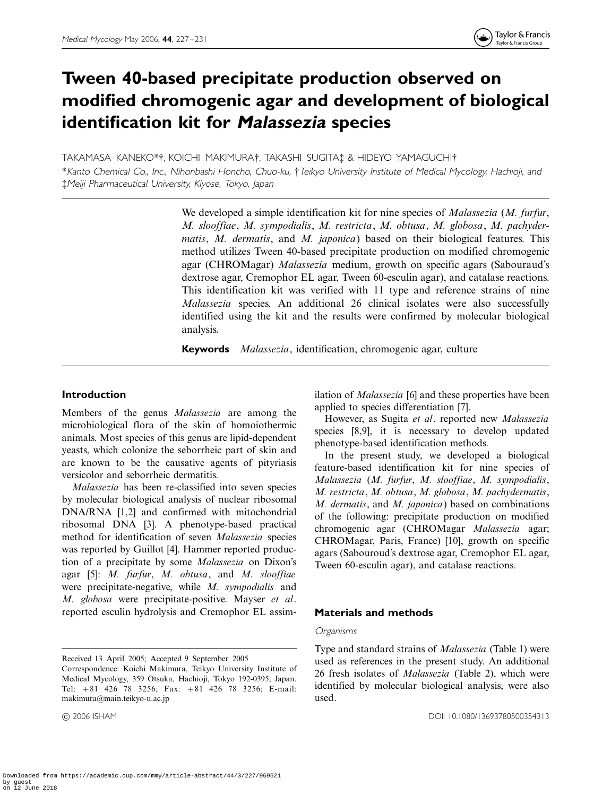# Tween 40-based precipitate production observed on modified chromogenic agar and development of biological identification kit for Malassezia species

TAKAMASA KANEKO\*†, KOICHI MAKIMURA†, TAKASHI SUGITA‡ & HIDEYO YAMAGUCHI†

\*Kanto Chemical Co., Inc., Nihonbashi Honcho, Chuo-ku, \$Teikyo University Institute of Medical Mycology, Hachioji, and %Meiji Pharmaceutical University, Kiyose, Tokyo, Japan

> We developed a simple identification kit for nine species of *Malassezia (M. furfur*, M. slooffiae, M. sympodialis, M. restricta, M. obtusa, M. globosa, M. pachydermatis, M. dermatis, and M. japonica) based on their biological features. This method utilizes Tween 40-based precipitate production on modified chromogenic agar (CHROMagar) Malassezia medium, growth on specific agars (Sabouraud's dextrose agar, Cremophor EL agar, Tween 60-esculin agar), and catalase reactions. This identification kit was verified with 11 type and reference strains of nine Malassezia species. An additional 26 clinical isolates were also successfully identified using the kit and the results were confirmed by molecular biological analysis.

Keywords Malassezia, identification, chromogenic agar, culture

# Introduction

Members of the genus Malassezia are among the microbiological flora of the skin of homoiothermic animals. Most species of this genus are lipid-dependent yeasts, which colonize the seborrheic part of skin and are known to be the causative agents of pityriasis versicolor and seborrheic dermatitis.

Malassezia has been re-classified into seven species by molecular biological analysis of nuclear ribosomal DNA/RNA [1,2] and confirmed with mitochondrial ribosomal DNA [3]. A phenotype-based practical method for identification of seven Malassezia species was reported by Guillot [4]. Hammer reported production of a precipitate by some Malassezia on Dixon's agar [5]: M. furfur, M. obtusa, and M. slooffiae were precipitate-negative, while M. sympodialis and M. globosa were precipitate-positive. Mayser et al. reported esculin hydrolysis and Cremophor EL assim-

ilation of *Malassezia* [6] and these properties have been applied to species differentiation [7].

However, as Sugita et al. reported new Malassezia species [8,9], it is necessary to develop updated phenotype-based identification methods.

In the present study, we developed a biological feature-based identification kit for nine species of Malassezia (M. furfur, M. slooffiae, M. sympodialis, M. restricta, M. obtusa, M. globosa, M. pachydermatis, M. dermatis, and M. japonica) based on combinations of the following: precipitate production on modified chromogenic agar (CHROMagar Malassezia agar; CHROMagar, Paris, France) [10], growth on specific agars (Sabouroud's dextrose agar, Cremophor EL agar, Tween 60-esculin agar), and catalase reactions.

# Materials and methods

#### **Organisms**

Received 13 April 2005; Accepted 9 September 2005

Correspondence: Koichi Makimura, Teikyo University Institute of Medical Mycology, 359 Otsuka, Hachioji, Tokyo 192-0395, Japan. Tel:  $+81$  426 78 3256; Fax:  $+81$  426 78 3256; E-mail: makimura@main.teikyo-u.ac.jp

Type and standard strains of Malassezia (Table 1) were used as references in the present study. An additional 26 fresh isolates of Malassezia (Table 2), which were identified by molecular biological analysis, were also used.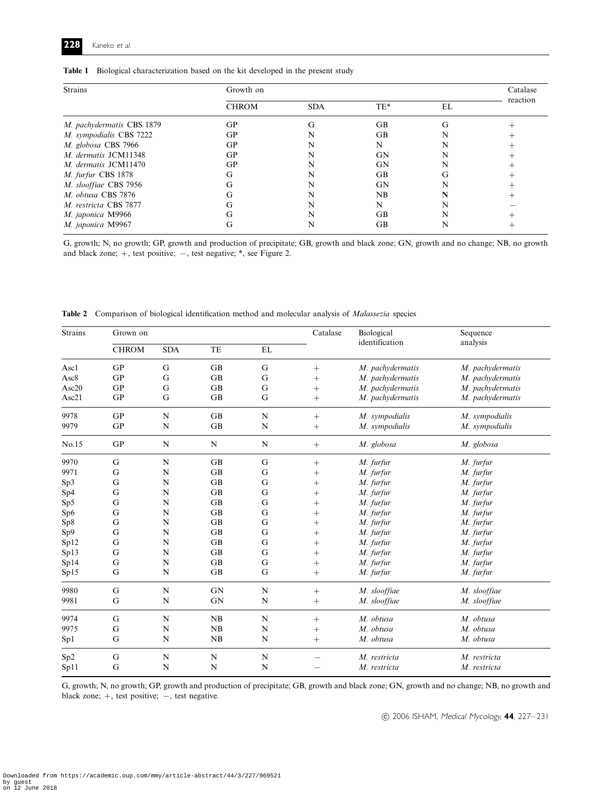|  | Table 1 Biological characterization based on the kit developed in the present study |  |  |  |  |  |  |  |
|--|-------------------------------------------------------------------------------------|--|--|--|--|--|--|--|
|--|-------------------------------------------------------------------------------------|--|--|--|--|--|--|--|

| <b>Strains</b>            | Growth on    |            |           |    |          |  |  |
|---------------------------|--------------|------------|-----------|----|----------|--|--|
|                           | <b>CHROM</b> | <b>SDA</b> | $TE*$     | EL | reaction |  |  |
| M. pachydermatis CBS 1879 | GP           | G          | <b>GB</b> | G  |          |  |  |
| M. sympodialis CBS 7222   | GP           |            | GB        |    |          |  |  |
| M. globosa CBS 7966       | GP           |            | N         |    |          |  |  |
| M. dermatis JCM11348      | GP           | N          | GN        |    |          |  |  |
| M. dermatis JCM11470      | GP           |            | GN        |    |          |  |  |
| M. furfur CBS 1878        | G            | N          | <b>GB</b> | G  |          |  |  |
| M. slooffiae CBS 7956     | G            |            | GN        |    |          |  |  |
| M. obtusa CBS 7876        | G            | N          | NB        |    |          |  |  |
| M. restricta CBS 7877     | G            | N          | N         |    |          |  |  |
| M. japonica M9966         | G            | N          | GB        |    |          |  |  |
| M. japonica M9967         | G            |            | GB        |    |          |  |  |

G, growth; N, no growth; GP, growth and production of precipitate; GB, growth and black zone; GN, growth and no change; NB, no growth and black zone;  $+$ , test positive;  $-$ , test negative;  $*$ , see Figure 2.

|  | <b>Table 2</b> Comparison of biological identification method and molecular analysis of <i>Malassezia</i> species |  |  |  |  |  |  |  |
|--|-------------------------------------------------------------------------------------------------------------------|--|--|--|--|--|--|--|
|--|-------------------------------------------------------------------------------------------------------------------|--|--|--|--|--|--|--|

| <b>Strains</b>  | Grown on     |             |           |             | Catalase | Biological       | Sequence         |
|-----------------|--------------|-------------|-----------|-------------|----------|------------------|------------------|
|                 | <b>CHROM</b> | <b>SDA</b>  | TE        | EL          |          | identification   | analysis         |
| Asc1            | <b>GP</b>    | G           | <b>GB</b> | G           | $^{+}$   | M. pachydermatis | M. pachydermatis |
| Asc8            | <b>GP</b>    | G           | GB        | G           | $^{+}$   | M. pachydermatis | M. pachydermatis |
| Asc20           | GP           | G           | <b>GB</b> | G           | $^{+}$   | M. pachydermatis | M. pachydermatis |
| Asc21           | GP           | G           | <b>GB</b> | G           | $^{+}$   | M. pachydermatis | M. pachydermatis |
| 9978            | GP           | N           | GB        | N           | $+$      | M. sympodialis   | M. sympodialis   |
| 9979            | GP           | $\mathbf N$ | GB        | N           | $+$      | M. sympodialis   | M. sympodialis   |
| No.15           | GP           | N           | N         | ${\bf N}$   | $+$      | M. globosa       | M. globosa       |
| 9970            | G            | N           | GB        | G           | $^{+}$   | M. furfur        | M. furfur        |
| 9971            | G            | N           | <b>GB</b> | G           | $^{+}$   | M. furfur        | M. furfur        |
| Sp3             | G            | N           | <b>GB</b> | G           | $^{+}$   | M. furfur        | M. furfur        |
| Sp4             | G            | N           | <b>GB</b> | G           | $^{+}$   | M. furfur        | M. furfur        |
| Sp5             | G            | N           | <b>GB</b> | G           | $^{+}$   | M. furfur        | M. furfur        |
| Sp <sub>6</sub> | G            | N           | <b>GB</b> | G           | $^{+}$   | M. furfur        | M. furfur        |
| Sp8             | G            | N           | <b>GB</b> | G           | $^{+}$   | M. furfur        | M. furfur        |
| Sp9             | G            | N           | <b>GB</b> | G           | $^{+}$   | M. furfur        | M. furfur        |
| Spl2            | G            | N           | <b>GB</b> | G           | $^{+}$   | M. furfur        | M. furfur        |
| Sp13            | G            | N           | <b>GB</b> | G           | $^{+}$   | M. furfur        | M. furfur        |
| Sp14            | G            | N           | GB        | G           | $^{+}$   | M. furfur        | M. furfur        |
| Sp15            | G            | N           | <b>GB</b> | G           | $^{+}$   | M. furfur        | M. furfur        |
| 9980            | G            | N           | <b>GN</b> | N           | $^{+}$   | M. slooffiae     | M. slooffiae     |
| 9981            | G            | N           | <b>GN</b> | $\mathbf N$ | $^{+}$   | M. slooffiae     | M. slooffiae     |
| 9974            | G            | N           | NB        | N           | $^{+}$   | M. obtusa        | M. obtusa        |
| 9975            | G            | N           | NB        | N           | $^{+}$   | M. obtusa        | M. obtusa        |
| Sp1             | G            | N           | NB        | N           | $^{+}$   | M. obtusa        | M. obtusa        |
| Sp <sub>2</sub> | $\mathbf G$  | N           | N         | N           |          | M. restricta     | M. restricta     |
| Spl1            | G            | N           | N         | N           |          | M. restricta     | M. restricta     |

G, growth; N, no growth; GP, growth and production of precipitate; GB, growth and black zone; GN, growth and no change; NB, no growth and black zone;  $+$ , test positive;  $-$ , test negative.

 $©$  2006 ISHAM, Medical Mycology, 44, 227-231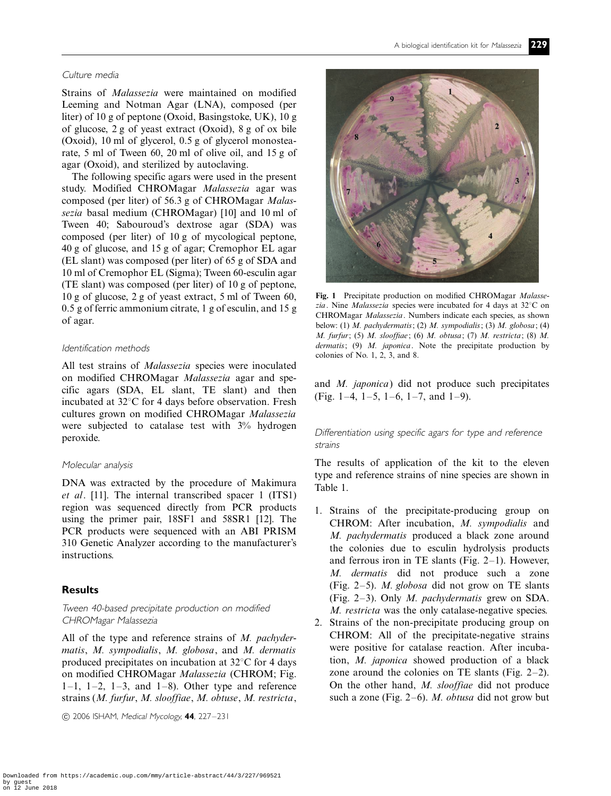#### Culture media

Strains of Malassezia were maintained on modified Leeming and Notman Agar (LNA), composed (per liter) of 10 g of peptone (Oxoid, Basingstoke, UK), 10 g of glucose, 2 g of yeast extract (Oxoid), 8 g of ox bile (Oxoid), 10 ml of glycerol, 0.5 g of glycerol monostearate, 5 ml of Tween 60, 20 ml of olive oil, and 15 g of agar (Oxoid), and sterilized by autoclaving.

The following specific agars were used in the present study. Modified CHROMagar Malassezia agar was composed (per liter) of 56.3 g of CHROMagar Malassezia basal medium (CHROMagar) [10] and 10 ml of Tween 40; Sabouroud's dextrose agar (SDA) was composed (per liter) of 10 g of mycological peptone, 40 g of glucose, and 15 g of agar; Cremophor EL agar (EL slant) was composed (per liter) of 65 g of SDA and 10 ml of Cremophor EL (Sigma); Tween 60-esculin agar (TE slant) was composed (per liter) of 10 g of peptone, 10 g of glucose, 2 g of yeast extract, 5 ml of Tween 60, 0.5 g of ferric ammonium citrate, 1 g of esculin, and 15 g of agar.

#### Identification methods

All test strains of *Malassezia* species were inoculated on modified CHROMagar Malassezia agar and specific agars (SDA, EL slant, TE slant) and then incubated at  $32^{\circ}$ C for 4 days before observation. Fresh cultures grown on modified CHROMagar Malassezia were subjected to catalase test with  $3\%$  hydrogen peroxide.

## Molecular analysis

DNA was extracted by the procedure of Makimura et al. [11]. The internal transcribed spacer 1 (ITS1) region was sequenced directly from PCR products using the primer pair, 18SF1 and 58SR1 [12]. The PCR products were sequenced with an ABI PRISM 310 Genetic Analyzer according to the manufacturer's instructions.

## **Results**

Tween 40-based precipitate production on modified CHROMagar Malassezia

All of the type and reference strains of M. pachydermatis, M. sympodialis, M. globosa, and M. dermatis produced precipitates on incubation at  $32^{\circ}$ C for 4 days on modified CHROMagar Malassezia (CHROM; Fig.  $1-1$ ,  $1-2$ ,  $1-3$ , and  $1-8$ ). Other type and reference strains (M. furfur, M. slooffiae, M. obtuse, M. restricta,

 $(C)$  2006 ISHAM, Medical Mycology, 44, 227-231



Fig. 1 Precipitate production on modified CHROMagar Malassezia. Nine *Malassezia* species were incubated for 4 days at  $32^{\circ}$ C on CHROMagar Malassezia. Numbers indicate each species, as shown below: (1) M. pachydermatis; (2) M. sympodialis; (3) M. globosa; (4) M. furfur; (5) M. slooffiae; (6) M. obtusa; (7) M. restricta; (8) M. dermatis;  $(9)$  M. japonica. Note the precipitate production by colonies of No. 1, 2, 3, and 8.

and M. japonica) did not produce such precipitates (Fig. 1-4, 1-5, 1-6, 1-7, and 1-9).

## Differentiation using specific agars for type and reference strains

The results of application of the kit to the eleven type and reference strains of nine species are shown in Table 1.

- 1. Strains of the precipitate-producing group on CHROM: After incubation, M. sympodialis and M. pachydermatis produced a black zone around the colonies due to esculin hydrolysis products and ferrous iron in TE slants (Fig.  $2-1$ ). However, M. dermatis did not produce such a zone (Fig.  $2-5$ ). *M. globosa* did not grow on TE slants (Fig. 2-3). Only  $M$ . pachydermatis grew on SDA. M. restricta was the only catalase-negative species.
- 2. Strains of the non-precipitate producing group on CHROM: All of the precipitate-negative strains were positive for catalase reaction. After incubation, M. japonica showed production of a black zone around the colonies on TE slants (Fig.  $2-2$ ). On the other hand, M. slooffiae did not produce such a zone (Fig.  $2-6$ ). *M. obtusa* did not grow but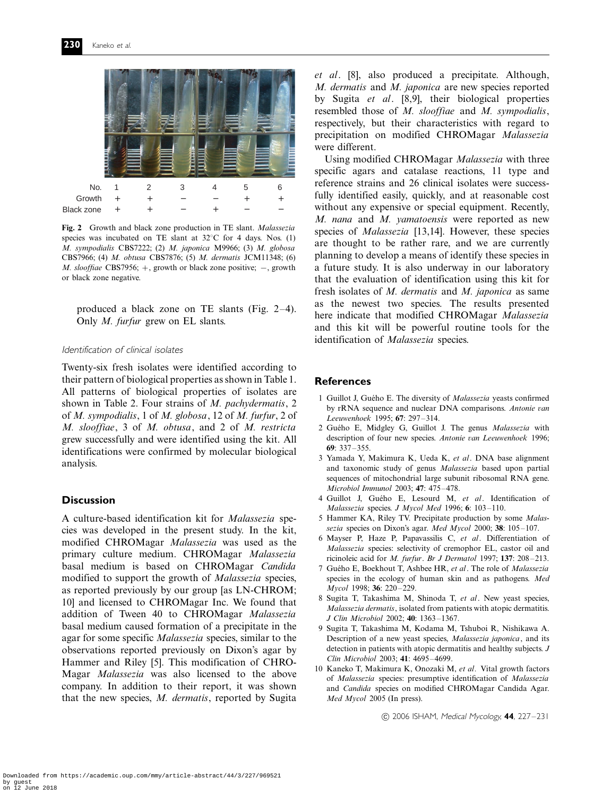

Fig. 2 Growth and black zone production in TE slant. Malassezia species was incubated on TE slant at  $32^{\circ}$ C for 4 days. Nos. (1) M. sympodialis CBS7222; (2) M. japonica M9966; (3) M. globosa CBS7966; (4) M. obtusa CBS7876; (5) M. dermatis JCM11348; (6) *M. slooffiae* CBS7956;  $+$ , growth or black zone positive;  $-$ , growth or black zone negative.

produced a black zone on TE slants (Fig.  $2-4$ ). Only M. furfur grew on EL slants.

#### Identification of clinical isolates

Twenty-six fresh isolates were identified according to their pattern of biological properties as shown in Table 1. All patterns of biological properties of isolates are shown in Table 2. Four strains of M. pachydermatis, 2 of M. sympodialis, 1 of M. globosa, 12 of M. furfur, 2 of M. slooffiae, 3 of M. obtusa, and 2 of M. restricta grew successfully and were identified using the kit. All identifications were confirmed by molecular biological analysis.

# **Discussion**

A culture-based identification kit for Malassezia species was developed in the present study. In the kit, modified CHROMagar Malassezia was used as the primary culture medium. CHROMagar Malassezia basal medium is based on CHROMagar Candida modified to support the growth of Malassezia species, as reported previously by our group [as LN-CHROM; 10] and licensed to CHROMagar Inc. We found that addition of Tween 40 to CHROMagar Malassezia basal medium caused formation of a precipitate in the agar for some specific Malassezia species, similar to the observations reported previously on Dixon's agar by Hammer and Riley [5]. This modification of CHRO-Magar Malassezia was also licensed to the above company. In addition to their report, it was shown that the new species, M. dermatis, reported by Sugita et al. [8], also produced a precipitate. Although, M. dermatis and M. japonica are new species reported by Sugita et al. [8,9], their biological properties resembled those of M. slooffiae and M. sympodialis, respectively, but their characteristics with regard to precipitation on modified CHROMagar Malassezia were different.

Using modified CHROMagar Malassezia with three specific agars and catalase reactions, 11 type and reference strains and 26 clinical isolates were successfully identified easily, quickly, and at reasonable cost without any expensive or special equipment. Recently, M. nana and M. yamatoensis were reported as new species of Malassezia [13,14]. However, these species are thought to be rather rare, and we are currently planning to develop a means of identify these species in a future study. It is also underway in our laboratory that the evaluation of identification using this kit for fresh isolates of M. dermatis and M. japonica as same as the newest two species. The results presented here indicate that modified CHROMagar Malassezia and this kit will be powerful routine tools for the identification of Malassezia species.

#### References

- 1 Guillot J, Guého E. The diversity of *Malassezia* yeasts confirmed by rRNA sequence and nuclear DNA comparisons. Antonie van Leeuwenhoek 1995; 67: 297-314.
- 2 Guého E, Midgley G, Guillot J. The genus Malassezia with description of four new species. Antonie van Leeuwenhoek 1996; 69:  $337 - 355$ .
- 3 Yamada Y, Makimura K, Ueda K, et al. DNA base alignment and taxonomic study of genus Malassezia based upon partial sequences of mitochondrial large subunit ribosomal RNA gene. Microbiol Immunol 2003; 47: 475-478.
- 4 Guillot J, Guého E, Lesourd M, et al. Identification of Malassezia species. J Mycol Med 1996; 6: 103-110.
- 5 Hammer KA, Riley TV. Precipitate production by some Malassezia species on Dixon's agar. Med Mycol 2000; 38:  $105-107$ .
- 6 Mayser P, Haze P, Papavassilis C, et al. Differentiation of Malassezia species: selectivity of cremophor EL, castor oil and ricinoleic acid for  $M$ . furfur. Br J Dermatol 1997; 137: 208-213.
- 7 Guého E, Boekhout T, Ashbee HR, et al. The role of Malassezia species in the ecology of human skin and as pathogens. Med Mycol 1998; 36: 220-229.
- 8 Sugita T, Takashima M, Shinoda T, et al. New yeast species, Malassezia dermatis, isolated from patients with atopic dermatitis. J Clin Microbiol 2002; 40: 1363-1367.
- 9 Sugita T, Takashima M, Kodama M, Tshuboi R, Nishikawa A. Description of a new yeast species, Malassezia japonica, and its detection in patients with atopic dermatitis and healthy subjects. J Clin Microbiol 2003: 41: 4695-4699.
- 10 Kaneko T, Makimura K, Onozaki M, et al. Vital growth factors of Malassezia species: presumptive identification of Malassezia and Candida species on modified CHROMagar Candida Agar. Med Mycol 2005 (In press).

 $(C)$  2006 ISHAM, Medical Mycology, 44, 227-231